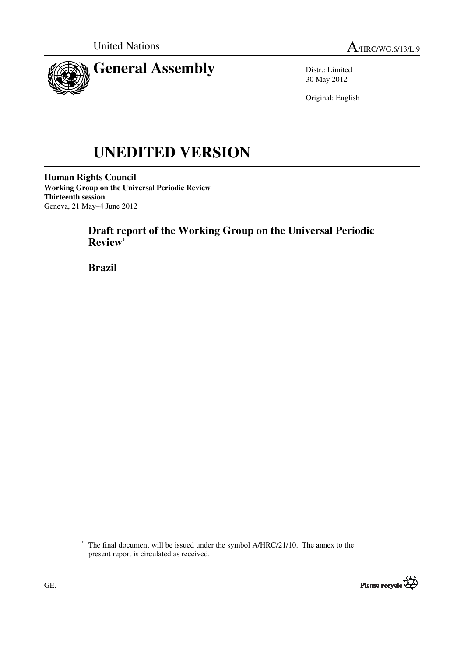

Distr.: Limited 30 May 2012

Original: English

# **UNEDITED VERSION**

**Human Rights Council Working Group on the Universal Periodic Review Thirteenth session**  Geneva, 21 May–4 June 2012

# **Draft report of the Working Group on the Universal Periodic Review\***

 **Brazil** 

<sup>\*</sup> The final document will be issued under the symbol A/HRC/21/10. The annex to the present report is circulated as received.

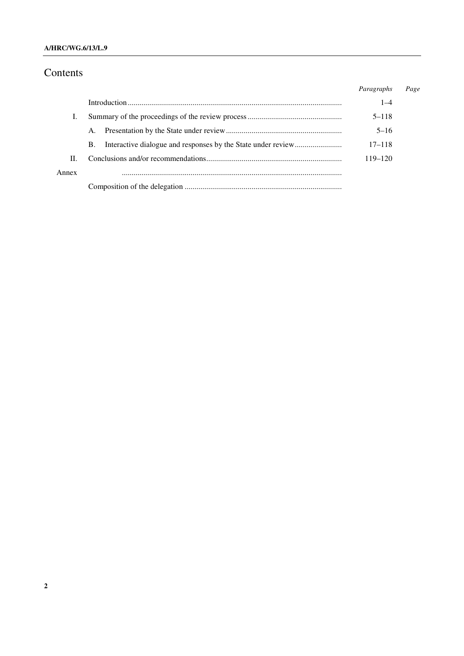## Contents

|       |    | Paragraphs | Page |
|-------|----|------------|------|
|       |    | $1 - 4$    |      |
|       |    | $5 - 118$  |      |
|       | A. | $5 - 16$   |      |
|       | В. | $17 - 118$ |      |
| H.    |    | 119–120    |      |
| Annex |    |            |      |
|       |    |            |      |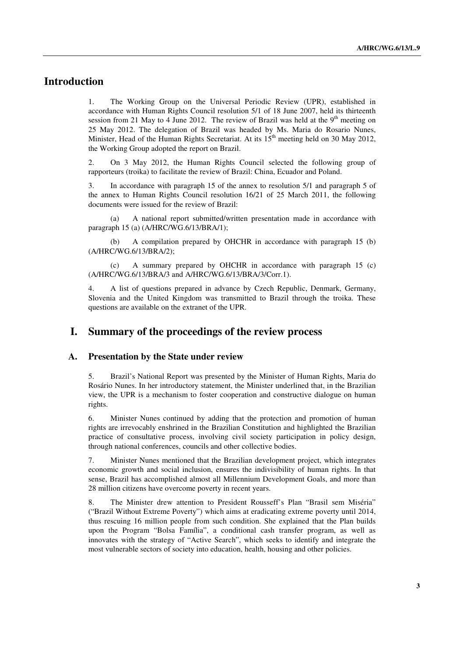## **Introduction**

1. The Working Group on the Universal Periodic Review (UPR), established in accordance with Human Rights Council resolution 5/1 of 18 June 2007, held its thirteenth session from 21 May to 4 June 2012. The review of Brazil was held at the  $9<sup>th</sup>$  meeting on 25 May 2012. The delegation of Brazil was headed by Ms. Maria do Rosario Nunes, Minister, Head of the Human Rights Secretariat. At its  $15<sup>th</sup>$  meeting held on 30 May 2012, the Working Group adopted the report on Brazil.

2. On 3 May 2012, the Human Rights Council selected the following group of rapporteurs (troika) to facilitate the review of Brazil: China, Ecuador and Poland.

3. In accordance with paragraph 15 of the annex to resolution 5/1 and paragraph 5 of the annex to Human Rights Council resolution 16/21 of 25 March 2011, the following documents were issued for the review of Brazil:

 (a) A national report submitted/written presentation made in accordance with paragraph 15 (a) (A/HRC/WG.6/13/BRA/1);

 (b) A compilation prepared by OHCHR in accordance with paragraph 15 (b) (A/HRC/WG.6/13/BRA/2);

 (c) A summary prepared by OHCHR in accordance with paragraph 15 (c) (A/HRC/WG.6/13/BRA/3 and A/HRC/WG.6/13/BRA/3/Corr.1).

4. A list of questions prepared in advance by Czech Republic, Denmark, Germany, Slovenia and the United Kingdom was transmitted to Brazil through the troika. These questions are available on the extranet of the UPR.

## **I. Summary of the proceedings of the review process**

#### **A. Presentation by the State under review**

5. Brazil's National Report was presented by the Minister of Human Rights, Maria do Rosário Nunes. In her introductory statement, the Minister underlined that, in the Brazilian view, the UPR is a mechanism to foster cooperation and constructive dialogue on human rights.

6. Minister Nunes continued by adding that the protection and promotion of human rights are irrevocably enshrined in the Brazilian Constitution and highlighted the Brazilian practice of consultative process, involving civil society participation in policy design, through national conferences, councils and other collective bodies.

7. Minister Nunes mentioned that the Brazilian development project, which integrates economic growth and social inclusion, ensures the indivisibility of human rights. In that sense, Brazil has accomplished almost all Millennium Development Goals, and more than 28 million citizens have overcome poverty in recent years.

8. The Minister drew attention to President Rousseff's Plan "Brasil sem Miséria" ("Brazil Without Extreme Poverty") which aims at eradicating extreme poverty until 2014, thus rescuing 16 million people from such condition. She explained that the Plan builds upon the Program "Bolsa Família", a conditional cash transfer program, as well as innovates with the strategy of "Active Search", which seeks to identify and integrate the most vulnerable sectors of society into education, health, housing and other policies.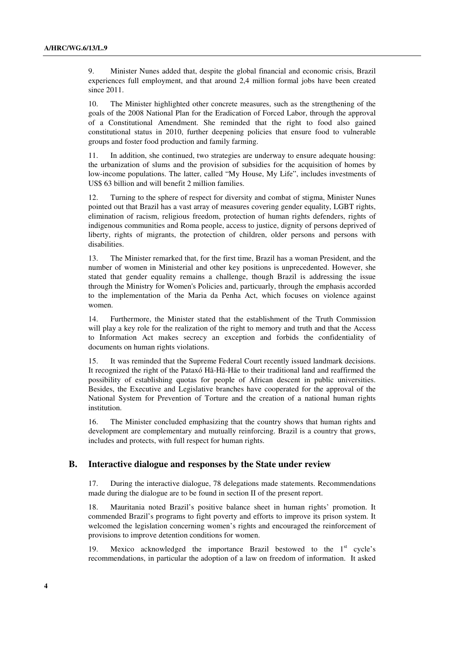9. Minister Nunes added that, despite the global financial and economic crisis, Brazil experiences full employment, and that around 2,4 million formal jobs have been created since 2011.

10. The Minister highlighted other concrete measures, such as the strengthening of the goals of the 2008 National Plan for the Eradication of Forced Labor, through the approval of a Constitutional Amendment. She reminded that the right to food also gained constitutional status in 2010, further deepening policies that ensure food to vulnerable groups and foster food production and family farming.

11. In addition, she continued, two strategies are underway to ensure adequate housing: the urbanization of slums and the provision of subsidies for the acquisition of homes by low-income populations. The latter, called "My House, My Life", includes investments of US\$ 63 billion and will benefit 2 million families.

12. Turning to the sphere of respect for diversity and combat of stigma, Minister Nunes pointed out that Brazil has a vast array of measures covering gender equality, LGBT rights, elimination of racism, religious freedom, protection of human rights defenders, rights of indigenous communities and Roma people, access to justice, dignity of persons deprived of liberty, rights of migrants, the protection of children, older persons and persons with disabilities.

13. The Minister remarked that, for the first time, Brazil has a woman President, and the number of women in Ministerial and other key positions is unprecedented. However, she stated that gender equality remains a challenge, though Brazil is addressing the issue through the Ministry for Women's Policies and, particuarly, through the emphasis accorded to the implementation of the Maria da Penha Act, which focuses on violence against women.

14. Furthermore, the Minister stated that the establishment of the Truth Commission will play a key role for the realization of the right to memory and truth and that the Access to Information Act makes secrecy an exception and forbids the confidentiality of documents on human rights violations.

15. It was reminded that the Supreme Federal Court recently issued landmark decisions. It recognized the right of the Pataxó Hã-Hã-Hãe to their traditional land and reaffirmed the possibility of establishing quotas for people of African descent in public universities. Besides, the Executive and Legislative branches have cooperated for the approval of the National System for Prevention of Torture and the creation of a national human rights institution.

16. The Minister concluded emphasizing that the country shows that human rights and development are complementary and mutually reinforcing. Brazil is a country that grows, includes and protects, with full respect for human rights.

#### **B. Interactive dialogue and responses by the State under review**

17. During the interactive dialogue, 78 delegations made statements. Recommendations made during the dialogue are to be found in section II of the present report.

18. Mauritania noted Brazil's positive balance sheet in human rights' promotion. It commended Brazil's programs to fight poverty and efforts to improve its prison system. It welcomed the legislation concerning women's rights and encouraged the reinforcement of provisions to improve detention conditions for women.

Mexico acknowledged the importance Brazil bestowed to the  $1<sup>st</sup>$  cycle's recommendations, in particular the adoption of a law on freedom of information. It asked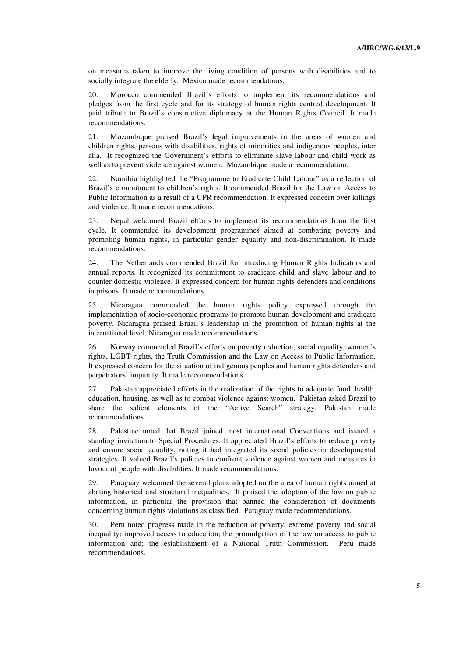on measures taken to improve the living condition of persons with disabilities and to socially integrate the elderly. Mexico made recommendations.

20. Morocco commended Brazil's efforts to implement its recommendations and pledges from the first cycle and for its strategy of human rights centred development. It paid tribute to Brazil's constructive diplomacy at the Human Rights Council. It made recommendations.

21. Mozambique praised Brazil's legal improvements in the areas of women and children rights, persons with disabilities, rights of minorities and indigenous peoples, inter alia. It recognized the Government's efforts to eliminate slave labour and child work as well as to prevent violence against women. Mozambique made a recommendation.

22. Namibia highlighted the "Programme to Eradicate Child Labour" as a reflection of Brazil's commitment to children's rights. It commended Brazil for the Law on Access to Public Information as a result of a UPR recommendation. It expressed concern over killings and violence. It made recommendations.

23. Nepal welcomed Brazil efforts to implement its recommendations from the first cycle. It commended its development programmes aimed at combating poverty and promoting human rights, in particular gender equality and non-discrimination. It made recommendations.

24. The Netherlands commended Brazil for introducing Human Rights Indicators and annual reports. It recognized its commitment to eradicate child and slave labour and to counter domestic violence. It expressed concern for human rights defenders and conditions in prisons. It made recommendations.

25. Nicaragua commended the human rights policy expressed through the implementation of socio-economic programs to promote human development and eradicate poverty. Nicaragua praised Brazil's leadership in the promotion of human rights at the international level. Nicaragua made recommendations.

26. Norway commended Brazil's efforts on poverty reduction, social equality, women's rights, LGBT rights, the Truth Commission and the Law on Access to Public Information. It expressed concern for the situation of indigenous peoples and human rights defenders and perpetrators' impunity. It made recommendations.

27. Pakistan appreciated efforts in the realization of the rights to adequate food, health, education, housing, as well as to combat violence against women. Pakistan asked Brazil to share the salient elements of the "Active Search" strategy. Pakistan made recommendations.

28. Palestine noted that Brazil joined most international Conventions and issued a standing invitation to Special Procedures. It appreciated Brazil's efforts to reduce poverty and ensure social equality, noting it had integrated its social policies in developmental strategies. It valued Brazil's policies to confront violence against women and measures in favour of people with disabilities. It made recommendations.

29. Paraguay welcomed the several plans adopted on the area of human rights aimed at abating historical and structural inequalities. It praised the adoption of the law on public information, in particular the provision that banned the consideration of documents concerning human rights violations as classified. Paraguay made recommendations.

30. Peru noted progress made in the reduction of poverty, extreme poverty and social inequality; improved access to education; the promulgation of the law on access to public information and; the establishment of a National Truth Commission. Peru made recommendations.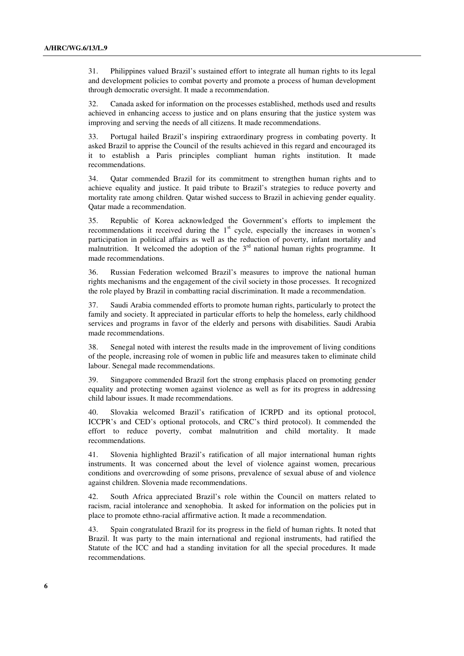31. Philippines valued Brazil's sustained effort to integrate all human rights to its legal and development policies to combat poverty and promote a process of human development through democratic oversight. It made a recommendation.

32. Canada asked for information on the processes established, methods used and results achieved in enhancing access to justice and on plans ensuring that the justice system was improving and serving the needs of all citizens. It made recommendations.

33. Portugal hailed Brazil's inspiring extraordinary progress in combating poverty. It asked Brazil to apprise the Council of the results achieved in this regard and encouraged its it to establish a Paris principles compliant human rights institution. It made recommendations.

34. Qatar commended Brazil for its commitment to strengthen human rights and to achieve equality and justice. It paid tribute to Brazil's strategies to reduce poverty and mortality rate among children. Qatar wished success to Brazil in achieving gender equality. Qatar made a recommendation.

35. Republic of Korea acknowledged the Government's efforts to implement the recommendations it received during the  $1<sup>st</sup>$  cycle, especially the increases in women's participation in political affairs as well as the reduction of poverty, infant mortality and malnutrition. It welcomed the adoption of the  $3<sup>rd</sup>$  national human rights programme. It made recommendations.

36. Russian Federation welcomed Brazil's measures to improve the national human rights mechanisms and the engagement of the civil society in those processes. It recognized the role played by Brazil in combatting racial discrimination. It made a recommendation.

37. Saudi Arabia commended efforts to promote human rights, particularly to protect the family and society. It appreciated in particular efforts to help the homeless, early childhood services and programs in favor of the elderly and persons with disabilities. Saudi Arabia made recommendations.

38. Senegal noted with interest the results made in the improvement of living conditions of the people, increasing role of women in public life and measures taken to eliminate child labour. Senegal made recommendations.

39. Singapore commended Brazil fort the strong emphasis placed on promoting gender equality and protecting women against violence as well as for its progress in addressing child labour issues. It made recommendations.

40. Slovakia welcomed Brazil's ratification of ICRPD and its optional protocol, ICCPR's and CED's optional protocols, and CRC's third protocol). It commended the effort to reduce poverty, combat malnutrition and child mortality. It made recommendations.

41. Slovenia highlighted Brazil's ratification of all major international human rights instruments. It was concerned about the level of violence against women, precarious conditions and overcrowding of some prisons, prevalence of sexual abuse of and violence against children. Slovenia made recommendations.

42. South Africa appreciated Brazil's role within the Council on matters related to racism, racial intolerance and xenophobia. It asked for information on the policies put in place to promote ethno-racial affirmative action. It made a recommendation.

43. Spain congratulated Brazil for its progress in the field of human rights. It noted that Brazil. It was party to the main international and regional instruments, had ratified the Statute of the ICC and had a standing invitation for all the special procedures. It made recommendations.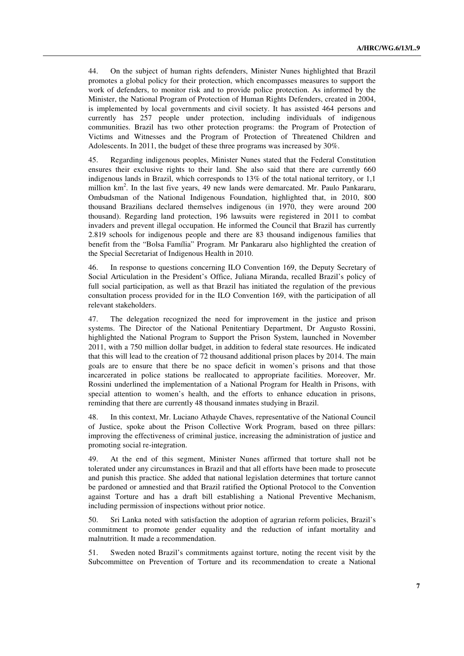44. On the subject of human rights defenders, Minister Nunes highlighted that Brazil promotes a global policy for their protection, which encompasses measures to support the work of defenders, to monitor risk and to provide police protection. As informed by the Minister, the National Program of Protection of Human Rights Defenders, created in 2004, is implemented by local governments and civil society. It has assisted 464 persons and currently has 257 people under protection, including individuals of indigenous communities. Brazil has two other protection programs: the Program of Protection of Victims and Witnesses and the Program of Protection of Threatened Children and Adolescents. In 2011, the budget of these three programs was increased by 30%.

45. Regarding indigenous peoples, Minister Nunes stated that the Federal Constitution ensures their exclusive rights to their land. She also said that there are currently 660 indigenous lands in Brazil, which corresponds to 13% of the total national territory, or 1,1 million  $km<sup>2</sup>$ . In the last five years, 49 new lands were demarcated. Mr. Paulo Pankararu, Ombudsman of the National Indigenous Foundation, highlighted that, in 2010, 800 thousand Brazilians declared themselves indigenous (in 1970, they were around 200 thousand). Regarding land protection, 196 lawsuits were registered in 2011 to combat invaders and prevent illegal occupation. He informed the Council that Brazil has currently 2.819 schools for indigenous people and there are 83 thousand indigenous families that benefit from the "Bolsa Família" Program. Mr Pankararu also highlighted the creation of the Special Secretariat of Indigenous Health in 2010.

46. In response to questions concerning ILO Convention 169, the Deputy Secretary of Social Articulation in the President's Office, Juliana Miranda, recalled Brazil's policy of full social participation, as well as that Brazil has initiated the regulation of the previous consultation process provided for in the ILO Convention 169, with the participation of all relevant stakeholders.

47. The delegation recognized the need for improvement in the justice and prison systems. The Director of the National Penitentiary Department, Dr Augusto Rossini, highlighted the National Program to Support the Prison System, launched in November 2011, with a 750 million dollar budget, in addition to federal state resources. He indicated that this will lead to the creation of 72 thousand additional prison places by 2014. The main goals are to ensure that there be no space deficit in women's prisons and that those incarcerated in police stations be reallocated to appropriate facilities. Moreover, Mr. Rossini underlined the implementation of a National Program for Health in Prisons, with special attention to women's health, and the efforts to enhance education in prisons, reminding that there are currently 48 thousand inmates studying in Brazil.

48. In this context, Mr. Luciano Athayde Chaves, representative of the National Council of Justice, spoke about the Prison Collective Work Program, based on three pillars: improving the effectiveness of criminal justice, increasing the administration of justice and promoting social re-integration.

49. At the end of this segment, Minister Nunes affirmed that torture shall not be tolerated under any circumstances in Brazil and that all efforts have been made to prosecute and punish this practice. She added that national legislation determines that torture cannot be pardoned or amnestied and that Brazil ratified the Optional Protocol to the Convention against Torture and has a draft bill establishing a National Preventive Mechanism, including permission of inspections without prior notice.

50. Sri Lanka noted with satisfaction the adoption of agrarian reform policies, Brazil's commitment to promote gender equality and the reduction of infant mortality and malnutrition. It made a recommendation.

51. Sweden noted Brazil's commitments against torture, noting the recent visit by the Subcommittee on Prevention of Torture and its recommendation to create a National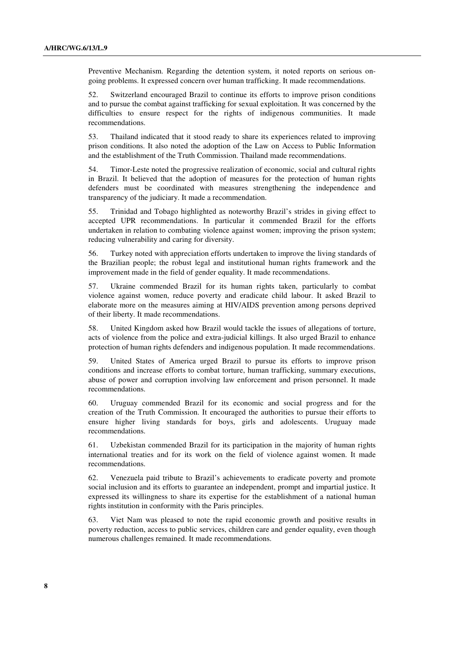Preventive Mechanism. Regarding the detention system, it noted reports on serious ongoing problems. It expressed concern over human trafficking. It made recommendations.

52. Switzerland encouraged Brazil to continue its efforts to improve prison conditions and to pursue the combat against trafficking for sexual exploitation. It was concerned by the difficulties to ensure respect for the rights of indigenous communities. It made recommendations.

53. Thailand indicated that it stood ready to share its experiences related to improving prison conditions. It also noted the adoption of the Law on Access to Public Information and the establishment of the Truth Commission. Thailand made recommendations.

54. Timor-Leste noted the progressive realization of economic, social and cultural rights in Brazil. It believed that the adoption of measures for the protection of human rights defenders must be coordinated with measures strengthening the independence and transparency of the judiciary. It made a recommendation.

55. Trinidad and Tobago highlighted as noteworthy Brazil's strides in giving effect to accepted UPR recommendations. In particular it commended Brazil for the efforts undertaken in relation to combating violence against women; improving the prison system; reducing vulnerability and caring for diversity.

56. Turkey noted with appreciation efforts undertaken to improve the living standards of the Brazilian people; the robust legal and institutional human rights framework and the improvement made in the field of gender equality. It made recommendations.

57. Ukraine commended Brazil for its human rights taken, particularly to combat violence against women, reduce poverty and eradicate child labour. It asked Brazil to elaborate more on the measures aiming at HIV/AIDS prevention among persons deprived of their liberty. It made recommendations.

58. United Kingdom asked how Brazil would tackle the issues of allegations of torture, acts of violence from the police and extra-judicial killings. It also urged Brazil to enhance protection of human rights defenders and indigenous population. It made recommendations.

59. United States of America urged Brazil to pursue its efforts to improve prison conditions and increase efforts to combat torture, human trafficking, summary executions, abuse of power and corruption involving law enforcement and prison personnel. It made recommendations.

60. Uruguay commended Brazil for its economic and social progress and for the creation of the Truth Commission. It encouraged the authorities to pursue their efforts to ensure higher living standards for boys, girls and adolescents. Uruguay made recommendations.

61. Uzbekistan commended Brazil for its participation in the majority of human rights international treaties and for its work on the field of violence against women. It made recommendations.

62. Venezuela paid tribute to Brazil's achievements to eradicate poverty and promote social inclusion and its efforts to guarantee an independent, prompt and impartial justice. It expressed its willingness to share its expertise for the establishment of a national human rights institution in conformity with the Paris principles.

63. Viet Nam was pleased to note the rapid economic growth and positive results in poverty reduction, access to public services, children care and gender equality, even though numerous challenges remained. It made recommendations.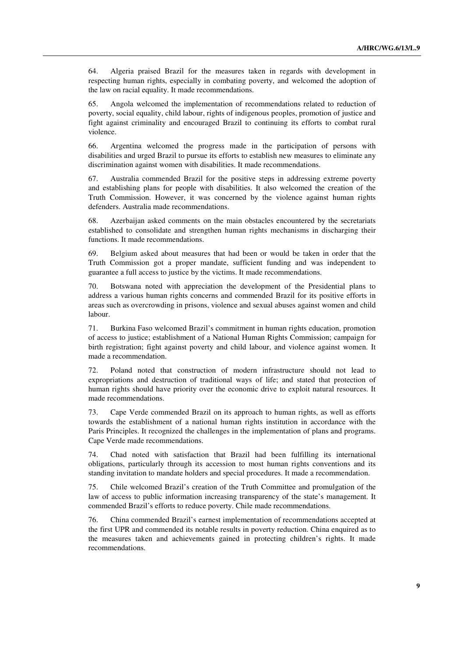64. Algeria praised Brazil for the measures taken in regards with development in respecting human rights, especially in combating poverty, and welcomed the adoption of the law on racial equality. It made recommendations.

65. Angola welcomed the implementation of recommendations related to reduction of poverty, social equality, child labour, rights of indigenous peoples, promotion of justice and fight against criminality and encouraged Brazil to continuing its efforts to combat rural violence.

66. Argentina welcomed the progress made in the participation of persons with disabilities and urged Brazil to pursue its efforts to establish new measures to eliminate any discrimination against women with disabilities. It made recommendations.

67. Australia commended Brazil for the positive steps in addressing extreme poverty and establishing plans for people with disabilities. It also welcomed the creation of the Truth Commission. However, it was concerned by the violence against human rights defenders. Australia made recommendations.

68. Azerbaijan asked comments on the main obstacles encountered by the secretariats established to consolidate and strengthen human rights mechanisms in discharging their functions. It made recommendations.

69. Belgium asked about measures that had been or would be taken in order that the Truth Commission got a proper mandate, sufficient funding and was independent to guarantee a full access to justice by the victims. It made recommendations.

70. Botswana noted with appreciation the development of the Presidential plans to address a various human rights concerns and commended Brazil for its positive efforts in areas such as overcrowding in prisons, violence and sexual abuses against women and child labour.

71. Burkina Faso welcomed Brazil's commitment in human rights education, promotion of access to justice; establishment of a National Human Rights Commission; campaign for birth registration; fight against poverty and child labour, and violence against women. It made a recommendation.

72. Poland noted that construction of modern infrastructure should not lead to expropriations and destruction of traditional ways of life; and stated that protection of human rights should have priority over the economic drive to exploit natural resources. It made recommendations.

73. Cape Verde commended Brazil on its approach to human rights, as well as efforts towards the establishment of a national human rights institution in accordance with the Paris Principles. It recognized the challenges in the implementation of plans and programs. Cape Verde made recommendations.

74. Chad noted with satisfaction that Brazil had been fulfilling its international obligations, particularly through its accession to most human rights conventions and its standing invitation to mandate holders and special procedures. It made a recommendation.

75. Chile welcomed Brazil's creation of the Truth Committee and promulgation of the law of access to public information increasing transparency of the state's management. It commended Brazil's efforts to reduce poverty. Chile made recommendations.

76. China commended Brazil's earnest implementation of recommendations accepted at the first UPR and commended its notable results in poverty reduction. China enquired as to the measures taken and achievements gained in protecting children's rights. It made recommendations.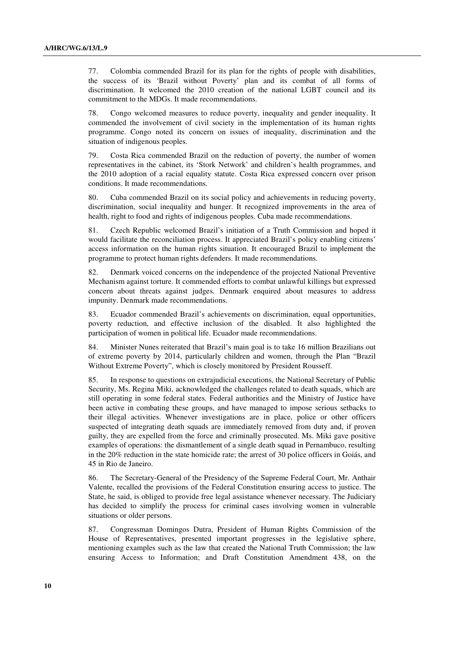77. Colombia commended Brazil for its plan for the rights of people with disabilities, the success of its 'Brazil without Poverty' plan and its combat of all forms of discrimination. It welcomed the 2010 creation of the national LGBT council and its commitment to the MDGs. It made recommendations.

78. Congo welcomed measures to reduce poverty, inequality and gender inequality. It commended the involvement of civil society in the implementation of its human rights programme. Congo noted its concern on issues of inequality, discrimination and the situation of indigenous peoples.

79. Costa Rica commended Brazil on the reduction of poverty, the number of women representatives in the cabinet, its 'Stork Network' and children's health programmes, and the 2010 adoption of a racial equality statute. Costa Rica expressed concern over prison conditions. It made recommendations.

80. Cuba commended Brazil on its social policy and achievements in reducing poverty, discrimination, social inequality and hunger. It recognized improvements in the area of health, right to food and rights of indigenous peoples. Cuba made recommendations.

81. Czech Republic welcomed Brazil's initiation of a Truth Commission and hoped it would facilitate the reconciliation process. It appreciated Brazil's policy enabling citizens' access information on the human rights situation. It encouraged Brazil to implement the programme to protect human rights defenders. It made recommendations.

82. Denmark voiced concerns on the independence of the projected National Preventive Mechanism against torture. It commended efforts to combat unlawful killings but expressed concern about threats against judges. Denmark enquired about measures to address impunity. Denmark made recommendations.

83. Ecuador commended Brazil's achievements on discrimination, equal opportunities, poverty reduction, and effective inclusion of the disabled. It also highlighted the participation of women in political life. Ecuador made recommendations.

84. Minister Nunes reiterated that Brazil's main goal is to take 16 million Brazilians out of extreme poverty by 2014, particularly children and women, through the Plan "Brazil Without Extreme Poverty", which is closely monitored by President Rousseff.

85. In response to questions on extrajudicial executions, the National Secretary of Public Security, Ms. Regina Miki, acknowledged the challenges related to death squads, which are still operating in some federal states. Federal authorities and the Ministry of Justice have been active in combating these groups, and have managed to impose serious setbacks to their illegal activities. Whenever investigations are in place, police or other officers suspected of integrating death squads are immediately removed from duty and, if proven guilty, they are expelled from the force and criminally prosecuted. Ms. Miki gave positive examples of operations: the dismantlement of a single death squad in Pernambuco, resulting in the 20% reduction in the state homicide rate; the arrest of 30 police officers in Goiás, and 45 in Rio de Janeiro.

86. The Secretary-General of the Presidency of the Supreme Federal Court, Mr. Anthair Valente, recalled the provisions of the Federal Constitution ensuring access to justice. The State, he said, is obliged to provide free legal assistance whenever necessary. The Judiciary has decided to simplify the process for criminal cases involving women in vulnerable situations or older persons.

87. Congressman Domingos Dutra, President of Human Rights Commission of the House of Representatives, presented important progresses in the legislative sphere, mentioning examples such as the law that created the National Truth Commission; the law ensuring Access to Information; and Draft Constitution Amendment 438, on the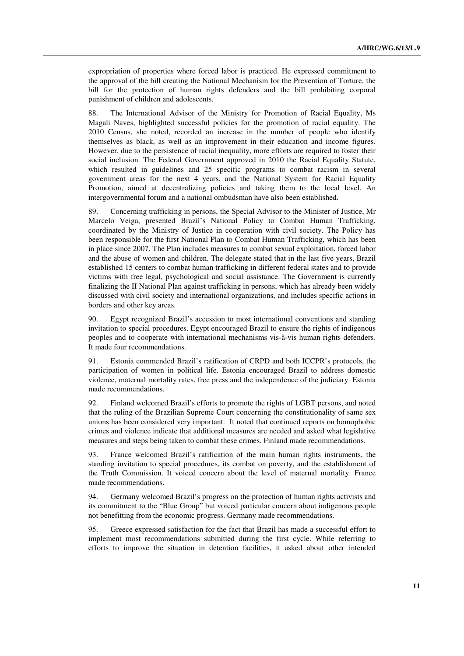expropriation of properties where forced labor is practiced. He expressed commitment to the approval of the bill creating the National Mechanism for the Prevention of Torture, the bill for the protection of human rights defenders and the bill prohibiting corporal punishment of children and adolescents.

88. The International Advisor of the Ministry for Promotion of Racial Equality, Ms Magali Naves, highlighted successful policies for the promotion of racial equality. The 2010 Census, she noted, recorded an increase in the number of people who identify themselves as black, as well as an improvement in their education and income figures. However, due to the persistence of racial inequality, more efforts are required to foster their social inclusion. The Federal Government approved in 2010 the Racial Equality Statute, which resulted in guidelines and 25 specific programs to combat racism in several government areas for the next 4 years, and the National System for Racial Equality Promotion, aimed at decentralizing policies and taking them to the local level. An intergovernmental forum and a national ombudsman have also been established.

89. Concerning trafficking in persons, the Special Advisor to the Minister of Justice, Mr Marcelo Veiga, presented Brazil's National Policy to Combat Human Trafficking, coordinated by the Ministry of Justice in cooperation with civil society. The Policy has been responsible for the first National Plan to Combat Human Trafficking, which has been in place since 2007. The Plan includes measures to combat sexual exploitation, forced labor and the abuse of women and children. The delegate stated that in the last five years, Brazil established 15 centers to combat human trafficking in different federal states and to provide victims with free legal, psychological and social assistance. The Government is currently finalizing the II National Plan against trafficking in persons, which has already been widely discussed with civil society and international organizations, and includes specific actions in borders and other key areas.

90. Egypt recognized Brazil's accession to most international conventions and standing invitation to special procedures. Egypt encouraged Brazil to ensure the rights of indigenous peoples and to cooperate with international mechanisms vis-à-vis human rights defenders. It made four recommendations.

91. Estonia commended Brazil's ratification of CRPD and both ICCPR's protocols, the participation of women in political life. Estonia encouraged Brazil to address domestic violence, maternal mortality rates, free press and the independence of the judiciary. Estonia made recommendations.

92. Finland welcomed Brazil's efforts to promote the rights of LGBT persons, and noted that the ruling of the Brazilian Supreme Court concerning the constitutionality of same sex unions has been considered very important. It noted that continued reports on homophobic crimes and violence indicate that additional measures are needed and asked what legislative measures and steps being taken to combat these crimes. Finland made recommendations.

93. France welcomed Brazil's ratification of the main human rights instruments, the standing invitation to special procedures, its combat on poverty, and the establishment of the Truth Commission. It voiced concern about the level of maternal mortality. France made recommendations.

94. Germany welcomed Brazil's progress on the protection of human rights activists and its commitment to the "Blue Group" but voiced particular concern about indigenous people not benefitting from the economic progress. Germany made recommendations.

95. Greece expressed satisfaction for the fact that Brazil has made a successful effort to implement most recommendations submitted during the first cycle. While referring to efforts to improve the situation in detention facilities, it asked about other intended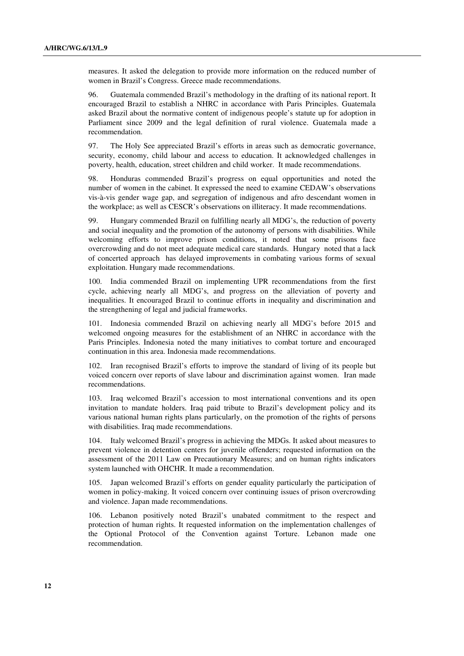measures. It asked the delegation to provide more information on the reduced number of women in Brazil's Congress. Greece made recommendations.

96. Guatemala commended Brazil's methodology in the drafting of its national report. It encouraged Brazil to establish a NHRC in accordance with Paris Principles. Guatemala asked Brazil about the normative content of indigenous people's statute up for adoption in Parliament since 2009 and the legal definition of rural violence. Guatemala made a recommendation.

97. The Holy See appreciated Brazil's efforts in areas such as democratic governance, security, economy, child labour and access to education. It acknowledged challenges in poverty, health, education, street children and child worker. It made recommendations.

98. Honduras commended Brazil's progress on equal opportunities and noted the number of women in the cabinet. It expressed the need to examine CEDAW's observations vis-à-vis gender wage gap, and segregation of indigenous and afro descendant women in the workplace; as well as CESCR's observations on illiteracy. It made recommendations.

99. Hungary commended Brazil on fulfilling nearly all MDG's, the reduction of poverty and social inequality and the promotion of the autonomy of persons with disabilities. While welcoming efforts to improve prison conditions, it noted that some prisons face overcrowding and do not meet adequate medical care standards. Hungary noted that a lack of concerted approach has delayed improvements in combating various forms of sexual exploitation. Hungary made recommendations.

100. India commended Brazil on implementing UPR recommendations from the first cycle, achieving nearly all MDG's, and progress on the alleviation of poverty and inequalities. It encouraged Brazil to continue efforts in inequality and discrimination and the strengthening of legal and judicial frameworks.

101. Indonesia commended Brazil on achieving nearly all MDG's before 2015 and welcomed ongoing measures for the establishment of an NHRC in accordance with the Paris Principles. Indonesia noted the many initiatives to combat torture and encouraged continuation in this area. Indonesia made recommendations.

102. Iran recognised Brazil's efforts to improve the standard of living of its people but voiced concern over reports of slave labour and discrimination against women. Iran made recommendations.

103. Iraq welcomed Brazil's accession to most international conventions and its open invitation to mandate holders. Iraq paid tribute to Brazil's development policy and its various national human rights plans particularly, on the promotion of the rights of persons with disabilities. Iraq made recommendations.

104. Italy welcomed Brazil's progress in achieving the MDGs. It asked about measures to prevent violence in detention centers for juvenile offenders; requested information on the assessment of the 2011 Law on Precautionary Measures; and on human rights indicators system launched with OHCHR. It made a recommendation.

105. Japan welcomed Brazil's efforts on gender equality particularly the participation of women in policy-making. It voiced concern over continuing issues of prison overcrowding and violence. Japan made recommendations.

106. Lebanon positively noted Brazil's unabated commitment to the respect and protection of human rights. It requested information on the implementation challenges of the Optional Protocol of the Convention against Torture. Lebanon made one recommendation.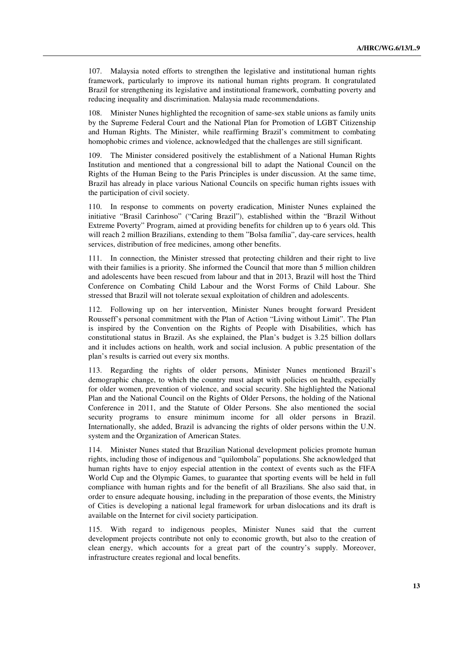107. Malaysia noted efforts to strengthen the legislative and institutional human rights framework, particularly to improve its national human rights program. It congratulated Brazil for strengthening its legislative and institutional framework, combatting poverty and reducing inequality and discrimination. Malaysia made recommendations.

Minister Nunes highlighted the recognition of same-sex stable unions as family units by the Supreme Federal Court and the National Plan for Promotion of LGBT Citizenship and Human Rights. The Minister, while reaffirming Brazil's commitment to combating homophobic crimes and violence, acknowledged that the challenges are still significant.

The Minister considered positively the establishment of a National Human Rights Institution and mentioned that a congressional bill to adapt the National Council on the Rights of the Human Being to the Paris Principles is under discussion. At the same time, Brazil has already in place various National Councils on specific human rights issues with the participation of civil society.

110. In response to comments on poverty eradication, Minister Nunes explained the initiative "Brasil Carinhoso" ("Caring Brazil"), established within the "Brazil Without Extreme Poverty" Program, aimed at providing benefits for children up to 6 years old. This will reach 2 million Brazilians, extending to them "Bolsa família", day-care services, health services, distribution of free medicines, among other benefits.

111. In connection, the Minister stressed that protecting children and their right to live with their families is a priority. She informed the Council that more than 5 million children and adolescents have been rescued from labour and that in 2013, Brazil will host the Third Conference on Combating Child Labour and the Worst Forms of Child Labour. She stressed that Brazil will not tolerate sexual exploitation of children and adolescents.

112. Following up on her intervention, Minister Nunes brought forward President Rousseff's personal commitment with the Plan of Action "Living without Limit". The Plan is inspired by the Convention on the Rights of People with Disabilities, which has constitutional status in Brazil. As she explained, the Plan's budget is 3.25 billion dollars and it includes actions on health, work and social inclusion. A public presentation of the plan's results is carried out every six months.

113. Regarding the rights of older persons, Minister Nunes mentioned Brazil's demographic change, to which the country must adapt with policies on health, especially for older women, prevention of violence, and social security. She highlighted the National Plan and the National Council on the Rights of Older Persons, the holding of the National Conference in 2011, and the Statute of Older Persons. She also mentioned the social security programs to ensure minimum income for all older persons in Brazil. Internationally, she added, Brazil is advancing the rights of older persons within the U.N. system and the Organization of American States.

114. Minister Nunes stated that Brazilian National development policies promote human rights, including those of indigenous and "quilombola" populations. She acknowledged that human rights have to enjoy especial attention in the context of events such as the FIFA World Cup and the Olympic Games, to guarantee that sporting events will be held in full compliance with human rights and for the benefit of all Brazilians. She also said that, in order to ensure adequate housing, including in the preparation of those events, the Ministry of Cities is developing a national legal framework for urban dislocations and its draft is available on the Internet for civil society participation.

115. With regard to indigenous peoples, Minister Nunes said that the current development projects contribute not only to economic growth, but also to the creation of clean energy, which accounts for a great part of the country's supply. Moreover, infrastructure creates regional and local benefits.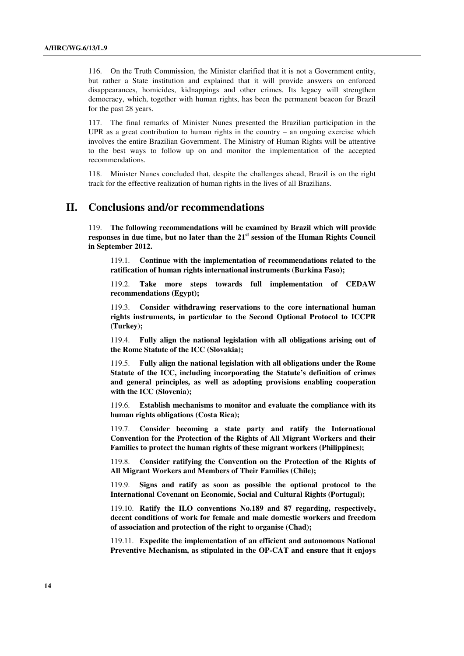116. On the Truth Commission, the Minister clarified that it is not a Government entity, but rather a State institution and explained that it will provide answers on enforced disappearances, homicides, kidnappings and other crimes. Its legacy will strengthen democracy, which, together with human rights, has been the permanent beacon for Brazil for the past 28 years.

117. The final remarks of Minister Nunes presented the Brazilian participation in the UPR as a great contribution to human rights in the country  $-$  an ongoing exercise which involves the entire Brazilian Government. The Ministry of Human Rights will be attentive to the best ways to follow up on and monitor the implementation of the accepted recommendations.

118. Minister Nunes concluded that, despite the challenges ahead, Brazil is on the right track for the effective realization of human rights in the lives of all Brazilians.

#### **II. Conclusions and/or recommendations**

119. **The following recommendations will be examined by Brazil which will provide responses in due time, but no later than the 21st session of the Human Rights Council in September 2012.** 

 119.1. **Continue with the implementation of recommendations related to the ratification of human rights international instruments (Burkina Faso);** 

 119.2. **Take more steps towards full implementation of CEDAW recommendations (Egypt);** 

 119.3. **Consider withdrawing reservations to the core international human rights instruments, in particular to the Second Optional Protocol to ICCPR (Turkey);** 

 119.4. **Fully align the national legislation with all obligations arising out of the Rome Statute of the ICC (Slovakia);** 

 119.5. **Fully align the national legislation with all obligations under the Rome Statute of the ICC, including incorporating the Statute's definition of crimes and general principles, as well as adopting provisions enabling cooperation with the ICC (Slovenia);** 

 119.6. **Establish mechanisms to monitor and evaluate the compliance with its human rights obligations (Costa Rica);** 

 119.7. **Consider becoming a state party and ratify the International Convention for the Protection of the Rights of All Migrant Workers and their Families to protect the human rights of these migrant workers (Philippines);** 

 119.8. **Consider ratifying the Convention on the Protection of the Rights of All Migrant Workers and Members of Their Families (Chile);** 

 119.9. **Signs and ratify as soon as possible the optional protocol to the International Covenant on Economic, Social and Cultural Rights (Portugal);** 

 119.10. **Ratify the ILO conventions No.189 and 87 regarding, respectively, decent conditions of work for female and male domestic workers and freedom of association and protection of the right to organise (Chad);** 

 119.11. **Expedite the implementation of an efficient and autonomous National Preventive Mechanism, as stipulated in the OP-CAT and ensure that it enjoys**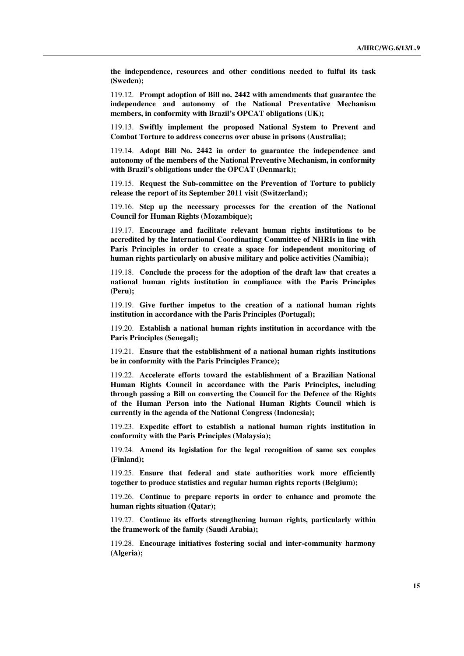**the independence, resources and other conditions needed to fulful its task (Sweden);** 

 119.12. **Prompt adoption of Bill no. 2442 with amendments that guarantee the independence and autonomy of the National Preventative Mechanism members, in conformity with Brazil's OPCAT obligations (UK);** 

 119.13. **Swiftly implement the proposed National System to Prevent and Combat Torture to address concerns over abuse in prisons (Australia);** 

 119.14. **Adopt Bill No. 2442 in order to guarantee the independence and autonomy of the members of the National Preventive Mechanism, in conformity with Brazil's obligations under the OPCAT (Denmark);** 

 119.15. **Request the Sub-committee on the Prevention of Torture to publicly release the report of its September 2011 visit (Switzerland);** 

 119.16. **Step up the necessary processes for the creation of the National Council for Human Rights (Mozambique);** 

 119.17. **Encourage and facilitate relevant human rights institutions to be accredited by the International Coordinating Committee of NHRIs in line with Paris Principles in order to create a space for independent monitoring of human rights particularly on abusive military and police activities (Namibia);** 

 119.18. **Conclude the process for the adoption of the draft law that creates a national human rights institution in compliance with the Paris Principles (Peru);** 

 119.19. **Give further impetus to the creation of a national human rights institution in accordance with the Paris Principles (Portugal);** 

 119.20. **Establish a national human rights institution in accordance with the Paris Principles (Senegal);** 

 119.21. **Ensure that the establishment of a national human rights institutions be in conformity with the Paris Principles France);**

 119.22. **Accelerate efforts toward the establishment of a Brazilian National Human Rights Council in accordance with the Paris Principles, including through passing a Bill on converting the Council for the Defence of the Rights of the Human Person into the National Human Rights Council which is currently in the agenda of the National Congress (Indonesia);** 

 119.23. **Expedite effort to establish a national human rights institution in conformity with the Paris Principles (Malaysia);** 

 119.24. **Amend its legislation for the legal recognition of same sex couples (Finland);** 

 119.25. **Ensure that federal and state authorities work more efficiently together to produce statistics and regular human rights reports (Belgium);** 

 119.26. **Continue to prepare reports in order to enhance and promote the human rights situation (Qatar);** 

 119.27. **Continue its efforts strengthening human rights, particularly within the framework of the family (Saudi Arabia);** 

 119.28. **Encourage initiatives fostering social and inter-community harmony (Algeria);**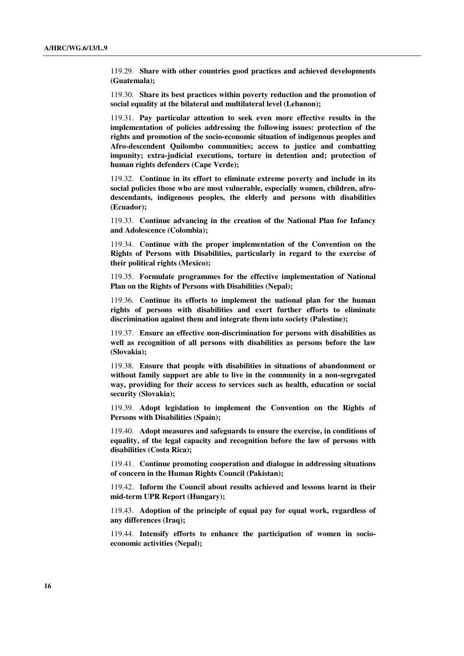119.29. **Share with other countries good practices and achieved developments (Guatemala);** 

 119.30. **Share its best practices within poverty reduction and the promotion of social equality at the bilateral and multilateral level (Lebanon);** 

 119.31. **Pay particular attention to seek even more effective results in the implementation of policies addressing the following issues: protection of the rights and promotion of the socio-economic situation of indigenous peoples and Afro-descendent Quilombo communities; access to justice and combatting impunity; extra-judicial executions, torture in detention and; protection of human rights defenders (Cape Verde);** 

 119.32. **Continue in its effort to eliminate extreme poverty and include in its social policies those who are most vulnerable, especially women, children, afrodescendants, indigenous peoples, the elderly and persons with disabilities (Ecuador);** 

 119.33. **Continue advancing in the creation of the National Plan for Infancy and Adolescence (Colombia);** 

 119.34. **Continue with the proper implementation of the Convention on the Rights of Persons with Disabilities, particularly in regard to the exercise of their political rights (Mexico);** 

 119.35. **Formulate programmes for the effective implementation of National Plan on the Rights of Persons with Disabilities (Nepal);** 

 119.36. **Continue its efforts to implement the national plan for the human rights of persons with disabilities and exert further efforts to eliminate discrimination against them and integrate them into society (Palestine);**

 119.37. **Ensure an effective non-discrimination for persons with disabilities as well as recognition of all persons with disabilities as persons before the law (Slovakia);** 

 119.38. **Ensure that people with disabilities in situations of abandonment or without family support are able to live in the community in a non-segregated way, providing for their access to services such as health, education or social security (Slovakia);** 

 119.39. **Adopt legislation to implement the Convention on the Rights of Persons with Disabilities (Spain);** 

 119.40. **Adopt measures and safeguards to ensure the exercise, in conditions of equality, of the legal capacity and recognition before the law of persons with disabilities (Costa Rica);** 

 119.41. **Continue promoting cooperation and dialogue in addressing situations of concern in the Human Rights Council (Pakistan);** 

 119.42. **Inform the Council about results achieved and lessons learnt in their mid-term UPR Report (Hungary);** 

 119.43. **Adoption of the principle of equal pay for equal work, regardless of any differences (Iraq);** 

 119.44. **Intensify efforts to enhance the participation of women in socioeconomic activities (Nepal);**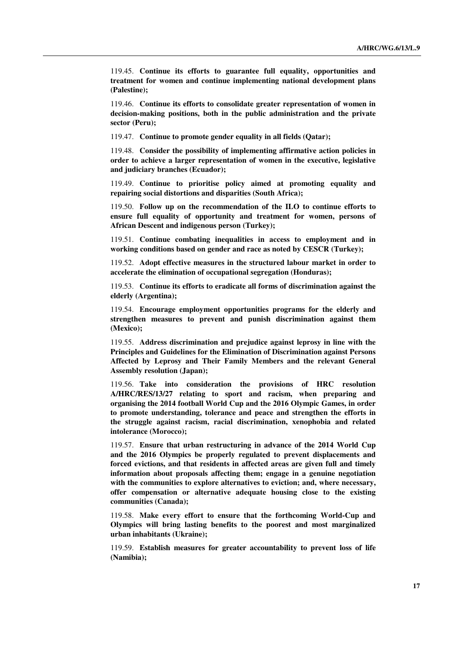119.45. **Continue its efforts to guarantee full equality, opportunities and treatment for women and continue implementing national development plans (Palestine);** 

 119.46. **Continue its efforts to consolidate greater representation of women in decision-making positions, both in the public administration and the private sector (Peru);** 

119.47. **Continue to promote gender equality in all fields (Qatar);** 

 119.48. **Consider the possibility of implementing affirmative action policies in order to achieve a larger representation of women in the executive, legislative and judiciary branches (Ecuador);** 

 119.49. **Continue to prioritise policy aimed at promoting equality and repairing social distortions and disparities (South Africa);** 

 119.50. **Follow up on the recommendation of the ILO to continue efforts to ensure full equality of opportunity and treatment for women, persons of African Descent and indigenous person (Turkey);** 

 119.51. **Continue combating inequalities in access to employment and in working conditions based on gender and race as noted by CESCR (Turkey);** 

 119.52. **Adopt effective measures in the structured labour market in order to accelerate the elimination of occupational segregation (Honduras);** 

 119.53. **Continue its efforts to eradicate all forms of discrimination against the elderly (Argentina);** 

 119.54. **Encourage employment opportunities programs for the elderly and strengthen measures to prevent and punish discrimination against them (Mexico);** 

 119.55. **Address discrimination and prejudice against leprosy in line with the Principles and Guidelines for the Elimination of Discrimination against Persons Affected by Leprosy and Their Family Members and the relevant General Assembly resolution (Japan);** 

 119.56. **Take into consideration the provisions of HRC resolution A/HRC/RES/13/27 relating to sport and racism, when preparing and organising the 2014 football World Cup and the 2016 Olympic Games, in order to promote understanding, tolerance and peace and strengthen the efforts in the struggle against racism, racial discrimination, xenophobia and related intolerance (Morocco);** 

 119.57. **Ensure that urban restructuring in advance of the 2014 World Cup and the 2016 Olympics be properly regulated to prevent displacements and forced evictions, and that residents in affected areas are given full and timely information about proposals affecting them; engage in a genuine negotiation with the communities to explore alternatives to eviction; and, where necessary, offer compensation or alternative adequate housing close to the existing communities (Canada);** 

 119.58. **Make every effort to ensure that the forthcoming World-Cup and Olympics will bring lasting benefits to the poorest and most marginalized urban inhabitants (Ukraine);** 

 119.59. **Establish measures for greater accountability to prevent loss of life (Namibia);**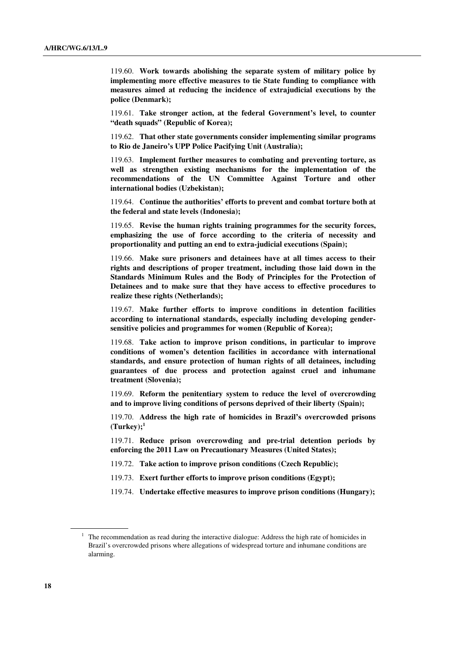119.60. **Work towards abolishing the separate system of military police by implementing more effective measures to tie State funding to compliance with measures aimed at reducing the incidence of extrajudicial executions by the police (Denmark);** 

 119.61. **Take stronger action, at the federal Government's level, to counter "death squads" (Republic of Korea);** 

 119.62. **That other state governments consider implementing similar programs to Rio de Janeiro's UPP Police Pacifying Unit (Australia);** 

 119.63. **Implement further measures to combating and preventing torture, as well as strengthen existing mechanisms for the implementation of the recommendations of the UN Committee Against Torture and other international bodies (Uzbekistan);** 

 119.64. **Continue the authorities' efforts to prevent and combat torture both at the federal and state levels (Indonesia);** 

 119.65. **Revise the human rights training programmes for the security forces, emphasizing the use of force according to the criteria of necessity and proportionality and putting an end to extra-judicial executions (Spain);** 

 119.66. **Make sure prisoners and detainees have at all times access to their rights and descriptions of proper treatment, including those laid down in the Standards Minimum Rules and the Body of Principles for the Protection of Detainees and to make sure that they have access to effective procedures to realize these rights (Netherlands);** 

 119.67. **Make further efforts to improve conditions in detention facilities according to international standards, especially including developing gendersensitive policies and programmes for women (Republic of Korea);** 

 119.68. **Take action to improve prison conditions, in particular to improve conditions of women's detention facilities in accordance with international standards, and ensure protection of human rights of all detainees, including guarantees of due process and protection against cruel and inhumane treatment (Slovenia);** 

 119.69. **Reform the penitentiary system to reduce the level of overcrowding and to improve living conditions of persons deprived of their liberty (Spain);** 

 119.70. **Address the high rate of homicides in Brazil's overcrowded prisons**   $(Turkev)$ ;<sup>1</sup>

 119.71. **Reduce prison overcrowding and pre-trial detention periods by enforcing the 2011 Law on Precautionary Measures (United States);** 

- 119.72. **Take action to improve prison conditions (Czech Republic);**
- 119.73. **Exert further efforts to improve prison conditions (Egypt);**

119.74. **Undertake effective measures to improve prison conditions (Hungary);** 

 $1$  The recommendation as read during the interactive dialogue: Address the high rate of homicides in Brazil's overcrowded prisons where allegations of widespread torture and inhumane conditions are alarming.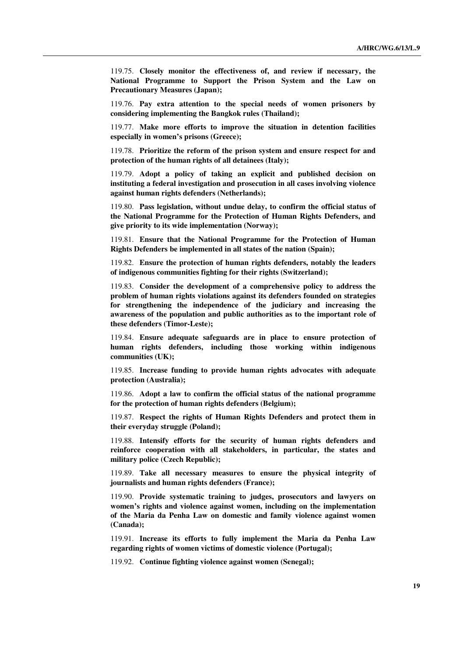119.75. **Closely monitor the effectiveness of, and review if necessary, the National Programme to Support the Prison System and the Law on Precautionary Measures (Japan);** 

 119.76. **Pay extra attention to the special needs of women prisoners by considering implementing the Bangkok rules (Thailand);** 

 119.77. **Make more efforts to improve the situation in detention facilities especially in women's prisons (Greece);** 

 119.78. **Prioritize the reform of the prison system and ensure respect for and protection of the human rights of all detainees (Italy);** 

 119.79. **Adopt a policy of taking an explicit and published decision on instituting a federal investigation and prosecution in all cases involving violence against human rights defenders (Netherlands);** 

 119.80. **Pass legislation, without undue delay, to confirm the official status of the National Programme for the Protection of Human Rights Defenders, and give priority to its wide implementation (Norway);** 

 119.81. **Ensure that the National Programme for the Protection of Human Rights Defenders be implemented in all states of the nation (Spain);** 

 119.82. **Ensure the protection of human rights defenders, notably the leaders of indigenous communities fighting for their rights (Switzerland);** 

 119.83. **Consider the development of a comprehensive policy to address the problem of human rights violations against its defenders founded on strategies for strengthening the independence of the judiciary and increasing the awareness of the population and public authorities as to the important role of these defenders (Timor-Leste);** 

 119.84. **Ensure adequate safeguards are in place to ensure protection of human rights defenders, including those working within indigenous communities (UK);** 

 119.85. **Increase funding to provide human rights advocates with adequate protection (Australia);** 

 119.86. **Adopt a law to confirm the official status of the national programme for the protection of human rights defenders (Belgium);** 

 119.87. **Respect the rights of Human Rights Defenders and protect them in their everyday struggle (Poland);** 

 119.88. **Intensify efforts for the security of human rights defenders and reinforce cooperation with all stakeholders, in particular, the states and military police (Czech Republic);** 

 119.89. **Take all necessary measures to ensure the physical integrity of journalists and human rights defenders (France);** 

 119.90. **Provide systematic training to judges, prosecutors and lawyers on women's rights and violence against women, including on the implementation of the Maria da Penha Law on domestic and family violence against women (Canada);** 

 119.91. **Increase its efforts to fully implement the Maria da Penha Law regarding rights of women victims of domestic violence (Portugal);** 

119.92. **Continue fighting violence against women (Senegal);**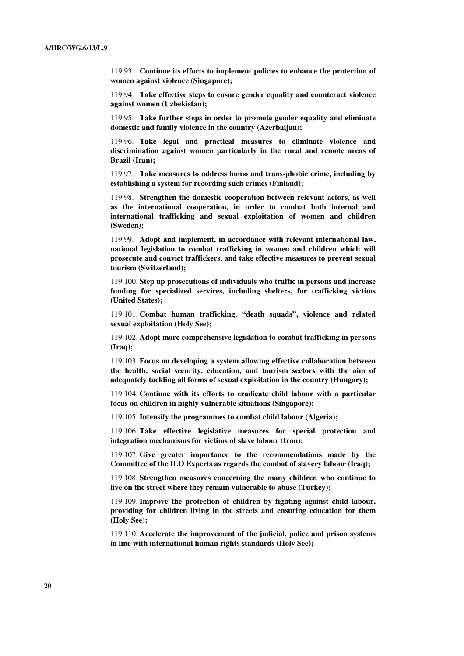119.93. **Continue its efforts to implement policies to enhance the protection of women against violence (Singapore);** 

 119.94. **Take effective steps to ensure gender equality and counteract violence against women (Uzbekistan);** 

 119.95. **Take further steps in order to promote gender equality and eliminate domestic and family violence in the country (Azerbaijan);** 

 119.96. **Take legal and practical measures to eliminate violence and discrimination against women particularly in the rural and remote areas of Brazil (Iran);** 

 119.97. **Take measures to address homo and trans-phobic crime, including by establishing a system for recording such crimes (Finland);** 

 119.98. **Strengthen the domestic cooperation between relevant actors, as well as the international cooperation, in order to combat both internal and international trafficking and sexual exploitation of women and children (Sweden);** 

 119.99. **Adopt and implement, in accordance with relevant international law, national legislation to combat trafficking in women and children which will prosecute and convict traffickers, and take effective measures to prevent sexual tourism (Switzerland);** 

 119.100. **Step up prosecutions of individuals who traffic in persons and increase funding for specialized services, including shelters, for trafficking victims (United States);** 

 119.101. **Combat human trafficking, "death squads", violence and related sexual exploitation (Holy See);** 

 119.102. **Adopt more comprehensive legislation to combat trafficking in persons (Iraq);** 

 119.103. **Focus on developing a system allowing effective collaboration between the health, social security, education, and tourism sectors with the aim of adequately tackling all forms of sexual exploitation in the country (Hungary);** 

 119.104. **Continue with its efforts to eradicate child labour with a particular focus on children in highly vulnerable situations (Singapore);** 

119.105. **Intensify the programmes to combat child labour (Algeria);** 

 119.106. **Take effective legislative measures for special protection and integration mechanisms for victims of slave labour (Iran);** 

 119.107. **Give greater importance to the recommendations made by the Committee of the ILO Experts as regards the combat of slavery labour (Iraq);** 

 119.108. **Strengthen measures concerning the many children who continue to live on the street where they remain vulnerable to abuse (Turkey);** 

 119.109. **Improve the protection of children by fighting against child labour, providing for children living in the streets and ensuring education for them (Holy See);** 

 119.110. **Accelerate the improvement of the judicial, police and prison systems in line with international human rights standards (Holy See);**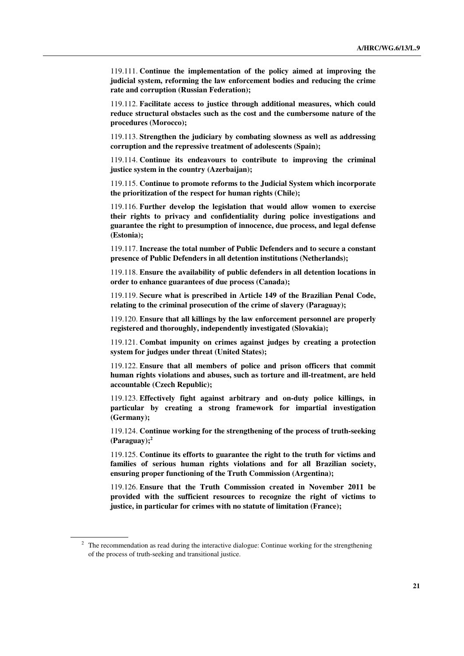119.111. **Continue the implementation of the policy aimed at improving the judicial system, reforming the law enforcement bodies and reducing the crime rate and corruption (Russian Federation);** 

 119.112. **Facilitate access to justice through additional measures, which could reduce structural obstacles such as the cost and the cumbersome nature of the procedures (Morocco);** 

 119.113. **Strengthen the judiciary by combating slowness as well as addressing corruption and the repressive treatment of adolescents (Spain);** 

 119.114. **Continue its endeavours to contribute to improving the criminal justice system in the country (Azerbaijan);** 

 119.115. **Continue to promote reforms to the Judicial System which incorporate the prioritization of the respect for human rights (Chile);** 

 119.116. **Further develop the legislation that would allow women to exercise their rights to privacy and confidentiality during police investigations and guarantee the right to presumption of innocence, due process, and legal defense (Estonia);** 

 119.117. **Increase the total number of Public Defenders and to secure a constant presence of Public Defenders in all detention institutions (Netherlands);** 

 119.118. **Ensure the availability of public defenders in all detention locations in order to enhance guarantees of due process (Canada);** 

 119.119. **Secure what is prescribed in Article 149 of the Brazilian Penal Code, relating to the criminal prosecution of the crime of slavery (Paraguay);** 

 119.120. **Ensure that all killings by the law enforcement personnel are properly registered and thoroughly, independently investigated (Slovakia);** 

 119.121. **Combat impunity on crimes against judges by creating a protection system for judges under threat (United States);** 

 119.122. **Ensure that all members of police and prison officers that commit human rights violations and abuses, such as torture and ill-treatment, are held accountable (Czech Republic);** 

 119.123. **Effectively fight against arbitrary and on-duty police killings, in particular by creating a strong framework for impartial investigation (Germany);** 

 119.124. **Continue working for the strengthening of the process of truth-seeking (Paraguay);<sup>2</sup>**

 119.125. **Continue its efforts to guarantee the right to the truth for victims and families of serious human rights violations and for all Brazilian society, ensuring proper functioning of the Truth Commission (Argentina);** 

 119.126. **Ensure that the Truth Commission created in November 2011 be provided with the sufficient resources to recognize the right of victims to justice, in particular for crimes with no statute of limitation (France);** 

 $2$  The recommendation as read during the interactive dialogue: Continue working for the strengthening of the process of truth-seeking and transitional justice.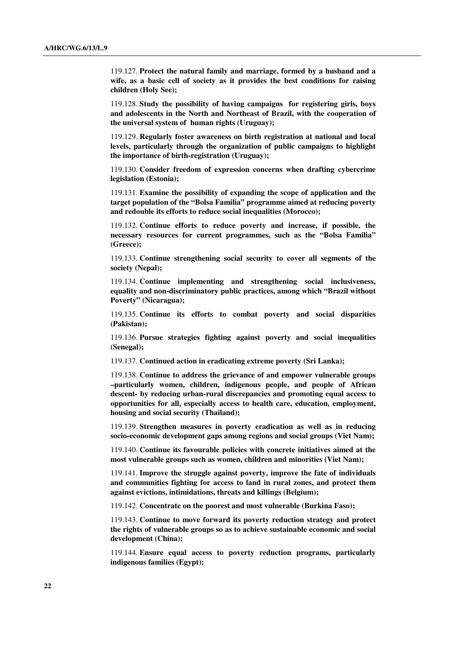119.127. **Protect the natural family and marriage, formed by a husband and a wife, as a basic cell of society as it provides the best conditions for raising children (Holy See);** 

 119.128. **Study the possibility of having campaigns for registering girls, boys and adolescents in the North and Northeast of Brazil, with the cooperation of the universal system of human rights (Uruguay);** 

 119.129. **Regularly foster awareness on birth registration at national and local levels, particularly through the organization of public campaigns to highlight the importance of birth-registration (Uruguay);** 

 119.130. **Consider freedom of expression concerns when drafting cybercrime legislation (Estonia);** 

 119.131. **Examine the possibility of expanding the scope of application and the target population of the "Bolsa Familia" programme aimed at reducing poverty and redouble its efforts to reduce social inequalities (Morocco);** 

 119.132. **Continue efforts to reduce poverty and increase, if possible, the necessary resources for current programmes, such as the "Bolsa Familia" (Greece);** 

 119.133. **Continue strengthening social security to cover all segments of the society (Nepal);** 

 119.134. **Continue implementing and strengthening social inclusiveness, equality and non-discriminatory public practices, among which "Brazil without Poverty" (Nicaragua);** 

 119.135. **Continue its efforts to combat poverty and social disparities (Pakistan);** 

 119.136. **Pursue strategies fighting against poverty and social inequalities (Senegal);** 

119.137. **Continued action in eradicating extreme poverty (Sri Lanka);** 

 119.138. **Continue to address the grievance of and empower vulnerable groups –particularly women, children, indigenous people, and people of African descent- by reducing urban-rural discrepancies and promoting equal access to opportunities for all, especially access to health care, education, employment, housing and social security (Thailand);** 

 119.139. **Strengthen measures in poverty eradication as well as in reducing socio-economic development gaps among regions and social groups (Viet Nam);** 

 119.140. **Continue its favourable policies with concrete initiatives aimed at the most vulnerable groups such as women, children and minorities (Viet Nam);** 

 119.141. **Improve the struggle against poverty, improve the fate of individuals and communities fighting for access to land in rural zones, and protect them against evictions, intimidations, threats and killings (Belgium);** 

119.142. **Concentrate on the poorest and most vulnerable (Burkina Faso);** 

 119.143. **Continue to move forward its poverty reduction strategy and protect the rights of vulnerable groups so as to achieve sustainable economic and social development (China);** 

 119.144. **Ensure equal access to poverty reduction programs, particularly indigenous families (Egypt);**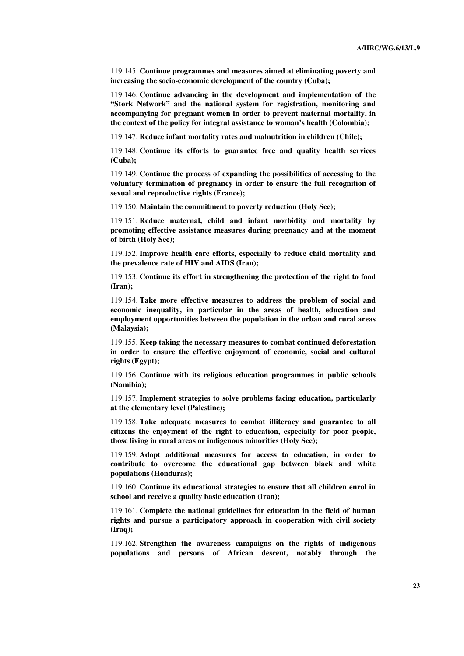119.145. **Continue programmes and measures aimed at eliminating poverty and increasing the socio-economic development of the country (Cuba);** 

 119.146. **Continue advancing in the development and implementation of the "Stork Network" and the national system for registration, monitoring and accompanying for pregnant women in order to prevent maternal mortality, in the context of the policy for integral assistance to woman's health (Colombia);** 

119.147. **Reduce infant mortality rates and malnutrition in children (Chile);** 

 119.148. **Continue its efforts to guarantee free and quality health services (Cuba);** 

 119.149. **Continue the process of expanding the possibilities of accessing to the voluntary termination of pregnancy in order to ensure the full recognition of sexual and reproductive rights (France);** 

119.150. **Maintain the commitment to poverty reduction (Holy See);** 

 119.151. **Reduce maternal, child and infant morbidity and mortality by promoting effective assistance measures during pregnancy and at the moment of birth (Holy See);** 

 119.152. **Improve health care efforts, especially to reduce child mortality and the prevalence rate of HIV and AIDS (Iran);** 

 119.153. **Continue its effort in strengthening the protection of the right to food (Iran);** 

 119.154. **Take more effective measures to address the problem of social and economic inequality, in particular in the areas of health, education and employment opportunities between the population in the urban and rural areas (Malaysia);** 

 119.155. **Keep taking the necessary measures to combat continued deforestation in order to ensure the effective enjoyment of economic, social and cultural rights (Egypt);** 

 119.156. **Continue with its religious education programmes in public schools (Namibia);** 

 119.157. **Implement strategies to solve problems facing education, particularly at the elementary level (Palestine);** 

 119.158. **Take adequate measures to combat illiteracy and guarantee to all citizens the enjoyment of the right to education, especially for poor people, those living in rural areas or indigenous minorities (Holy See);** 

 119.159. **Adopt additional measures for access to education, in order to contribute to overcome the educational gap between black and white populations (Honduras);** 

 119.160. **Continue its educational strategies to ensure that all children enrol in school and receive a quality basic education (Iran);** 

 119.161. **Complete the national guidelines for education in the field of human rights and pursue a participatory approach in cooperation with civil society (Iraq);** 

 119.162. **Strengthen the awareness campaigns on the rights of indigenous populations and persons of African descent, notably through the**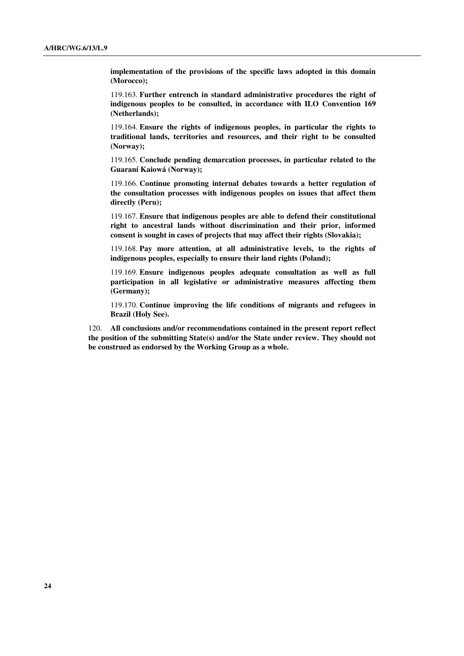**implementation of the provisions of the specific laws adopted in this domain (Morocco);** 

 119.163. **Further entrench in standard administrative procedures the right of indigenous peoples to be consulted, in accordance with ILO Convention 169 (Netherlands);** 

 119.164. **Ensure the rights of indigenous peoples, in particular the rights to traditional lands, territories and resources, and their right to be consulted (Norway);** 

 119.165. **Conclude pending demarcation processes, in particular related to the Guaraní Kaiowá (Norway);** 

 119.166. **Continue promoting internal debates towards a better regulation of the consultation processes with indigenous peoples on issues that affect them directly (Peru);** 

 119.167. **Ensure that indigenous peoples are able to defend their constitutional right to ancestral lands without discrimination and their prior, informed consent is sought in cases of projects that may affect their rights (Slovakia);** 

 119.168. **Pay more attention, at all administrative levels, to the rights of indigenous peoples, especially to ensure their land rights (Poland);** 

 119.169. **Ensure indigenous peoples adequate consultation as well as full participation in all legislative or administrative measures affecting them (Germany);** 

 119.170. **Continue improving the life conditions of migrants and refugees in Brazil (Holy See).**

120. **All conclusions and/or recommendations contained in the present report reflect the position of the submitting State(s) and/or the State under review. They should not be construed as endorsed by the Working Group as a whole.**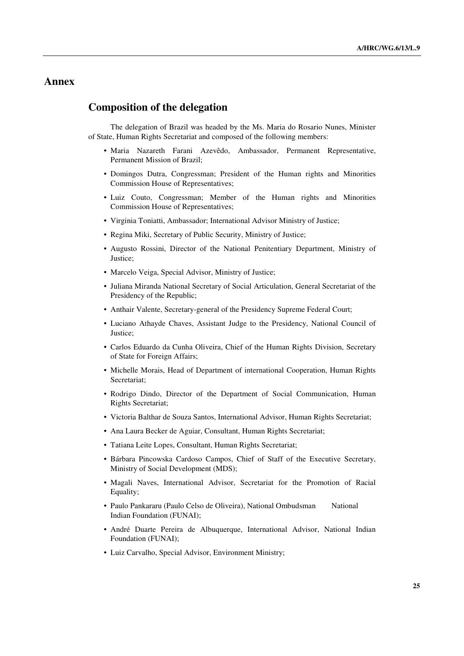## **Annex**

### **Composition of the delegation**

 The delegation of Brazil was headed by the Ms. Maria do Rosario Nunes, Minister of State, Human Rights Secretariat and composed of the following members:

- Maria Nazareth Farani Azevêdo, Ambassador, Permanent Representative, Permanent Mission of Brazil;
- Domingos Dutra, Congressman; President of the Human rights and Minorities Commission House of Representatives;
- Luiz Couto, Congressman; Member of the Human rights and Minorities Commission House of Representatives;
- Virginia Toniatti, Ambassador; International Advisor Ministry of Justice;
- Regina Miki, Secretary of Public Security, Ministry of Justice;
- Augusto Rossini, Director of the National Penitentiary Department, Ministry of Justice;
- Marcelo Veiga, Special Advisor, Ministry of Justice;
- Juliana Miranda National Secretary of Social Articulation, General Secretariat of the Presidency of the Republic;
- Anthair Valente, Secretary-general of the Presidency Supreme Federal Court;
- Luciano Athayde Chaves, Assistant Judge to the Presidency, National Council of Justice;
- Carlos Eduardo da Cunha Oliveira, Chief of the Human Rights Division, Secretary of State for Foreign Affairs;
- Michelle Morais, Head of Department of international Cooperation, Human Rights Secretariat;
- Rodrigo Dindo, Director of the Department of Social Communication, Human Rights Secretariat;
- Victoria Balthar de Souza Santos, International Advisor, Human Rights Secretariat;
- Ana Laura Becker de Aguiar, Consultant, Human Rights Secretariat;
- Tatiana Leite Lopes, Consultant, Human Rights Secretariat;
- Bárbara Pincowska Cardoso Campos, Chief of Staff of the Executive Secretary, Ministry of Social Development (MDS);
- Magali Naves, International Advisor, Secretariat for the Promotion of Racial Equality;
- Paulo Pankararu (Paulo Celso de Oliveira), National Ombudsman National Indian Foundation (FUNAI);
- André Duarte Pereira de Albuquerque, International Advisor, National Indian Foundation (FUNAI);
- Luiz Carvalho, Special Advisor, Environment Ministry;